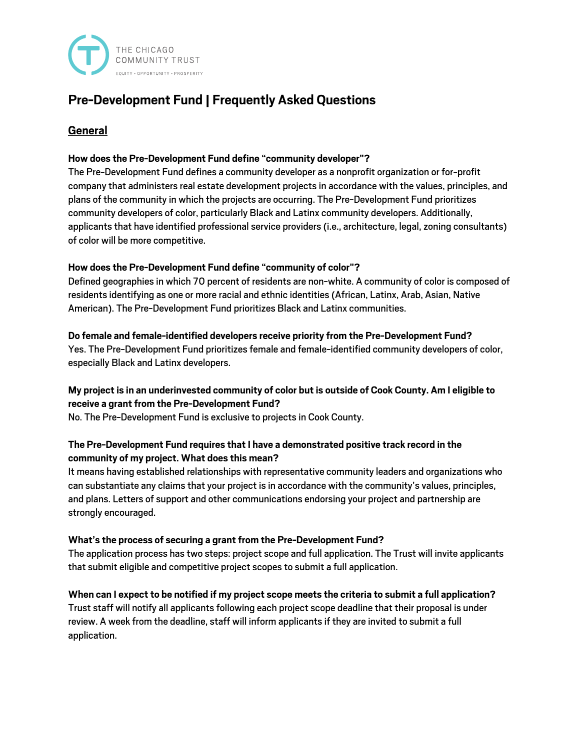

# **Pre-Development Fund | Frequently Asked Questions**

# **General**

## **How does the Pre-Development Fund define "community developer"?**

The Pre-Development Fund defines a community developer as a nonprofit organization or for-profit company that administers real estate development projects in accordance with the values, principles, and plans of the community in which the projects are occurring. The Pre-Development Fund prioritizes community developers of color, particularly Black and Latinx community developers. Additionally, applicants that have identified professional service providers (i.e., architecture, legal, zoning consultants) of color will be more competitive.

## **How does the Pre-Development Fund define "community of color"?**

Defined geographies in which 70 percent of residents are non-white. A community of color is composed of residents identifying as one or more racial and ethnic identities (African, Latinx, Arab, Asian, Native American). The Pre-Development Fund prioritizes Black and Latinx communities.

#### **Do female and female-identified developers receive priority from the Pre-Development Fund?**

Yes. The Pre-Development Fund prioritizes female and female-identified community developers of color, especially Black and Latinx developers.

## **My project is in an underinvested community of color but is outside of Cook County. Am I eligible to receive a grant from the Pre-Development Fund?**

No. The Pre-Development Fund is exclusive to projects in Cook County.

## **The Pre-Development Fund requires that I have a demonstrated positive track record in the community of my project. What does this mean?**

It means having established relationships with representative community leaders and organizations who can substantiate any claims that your project is in accordance with the community's values, principles, and plans. Letters of support and other communications endorsing your project and partnership are strongly encouraged.

#### **What's the process of securing a grant from the Pre-Development Fund?**

The application process has two steps: project scope and full application. The Trust will invite applicants that submit eligible and competitive project scopes to submit a full application.

**When can I expect to be notified if my project scope meets the criteria to submit a full application?** Trust staff will notify all applicants following each project scope deadline that their proposal is under review. A week from the deadline, staff will inform applicants if they are invited to submit a full application.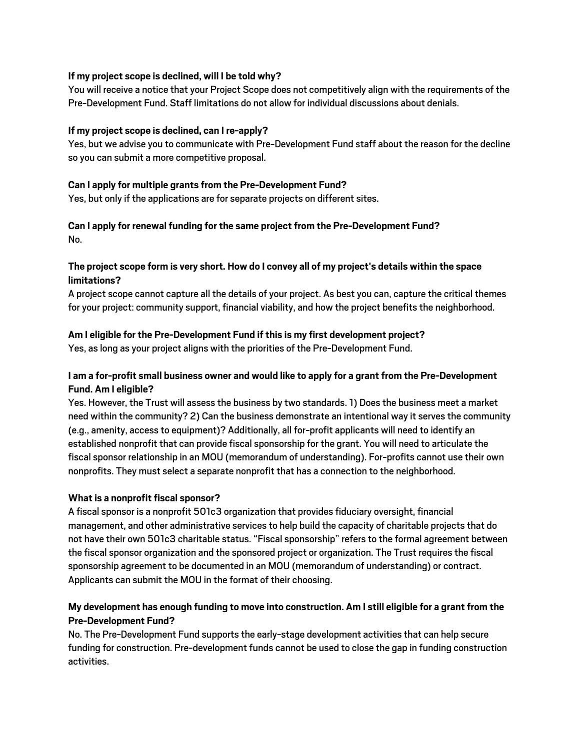#### **If my project scope is declined, will I be told why?**

You will receive a notice that your Project Scope does not competitively align with the requirements of the Pre-Development Fund. Staff limitations do not allow for individual discussions about denials.

#### **If my project scope is declined, can I re-apply?**

Yes, but we advise you to communicate with Pre-Development Fund staff about the reason for the decline so you can submit a more competitive proposal.

#### **Can I apply for multiple grants from the Pre-Development Fund?**

Yes, but only if the applications are for separate projects on different sites.

#### **Can I apply for renewal funding for the same project from the Pre-Development Fund?** No.

## **The project scope form is very short. How do I convey all of my project's details within the space limitations?**

A project scope cannot capture all the details of your project. As best you can, capture the critical themes for your project: community support, financial viability, and how the project benefits the neighborhood.

## **Am I eligible for the Pre-Development Fund if this is my first development project?**

Yes, as long as your project aligns with the priorities of the Pre-Development Fund.

## **I am a for-profit small business owner and would like to apply for a grant from the Pre-Development Fund. Am I eligible?**

Yes. However, the Trust will assess the business by two standards.1) Does the business meet a market need within the community? 2) Can the business demonstrate an intentional way it serves the community (e.g., amenity, access to equipment)? Additionally, all for-profit applicants will need to identify an established nonprofit that can provide fiscal sponsorship for the grant. You will need to articulate the fiscal sponsor relationship in an MOU (memorandum of understanding). For-profits cannot use their own nonprofits. They must select a separate nonprofit that has a connection to the neighborhood.

## **What is a nonprofit fiscal sponsor?**

A fiscal sponsor is a nonprofit 501c3 organization that provides fiduciary oversight, financial management, and other administrative services to help build the capacity of charitable projects that do not have their own 501c3 charitable status."Fiscal sponsorship"refers to the formal agreement between the fiscal sponsor organization and the sponsored project or organization. The Trust requires the fiscal sponsorship agreement to be documented in an MOU (memorandum of understanding) or contract. Applicants can submit the MOU in the format of their choosing.

## **My development has enough funding to move into construction. Am I still eligible for a grant from the Pre-Development Fund?**

No. The Pre-Development Fund supports the early-stage development activities that can help secure funding for construction. Pre-development funds cannot be used to close the gap in funding construction activities.